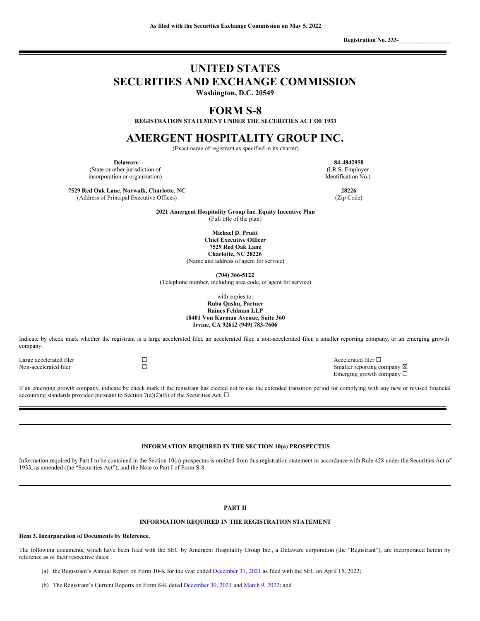**Registration No. 333**-\_\_\_\_\_\_\_\_\_\_\_\_\_\_\_\_\_

# **UNITED STATES SECURITIES AND EXCHANGE COMMISSION**

**Washington, D.C. 20549**

# **FORM S-8**

**REGISTRATION STATEMENT UNDER THE SECURITIES ACT OF 1933**

# **AMERGENT HOSPITALITY GROUP INC.**

(Exact name of registrant as specified in its charter)

(State or other jurisdiction of incorporation or organization)

**7529 Red Oak Lane, Norwalk, Charlotte, NC 28226** (Address of Principal Executive Offices) (Zip Code)

**Delaware 84-4842958** (I.R.S. Employer Identification No.)

**2021 Amergent Hospitality Group Inc. Equity Incentive Plan** (Full title of the plan)

> **Michael D. Pruitt Chief Executive Officer 7529 Red Oak Lane Charlotte, NC 28226**

(Name and address of agent for service)

**(704) 366-5122**

(Telephone number, including area code, of agent for service)

with copies to: **Ruba Qashu, Partner Raines Feldman LLP 18401 Von Karman Avenue, Suite 360 Irvine, CA 92612 (949) 783-7606**

Indicate by check mark whether the registrant is a large accelerated filer, an accelerated filer, a non-accelerated filer, a smaller reporting company, or an emerging growth company.

Large accelerated filer ☐ Accelerated filer ☐

Non-accelerated filer ☐ Smaller reporting company ☒ Emerging growth company ☐

If an emerging growth company, indicate by check mark if the registrant has elected not to use the extended transition period for complying with any new or revised financial accounting standards provided pursuant to Section 7(a)(2)(B) of the Securities Act.  $\Box$ 

# **INFORMATION REQUIRED IN THE SECTION 10(a) PROSPECTUS**

Information required by Part I to be contained in the Section 10(a) prospectus is omitted from this registration statement in accordance with Rule 428 under the Securities Act of 1933, as amended (the "Securities Act"), and the Note to Part I of Form S-8.

# **PART II**

# **INFORMATION REQUIRED IN THE REGISTRATION STATEMENT**

#### **Item 3. Incorporation of Documents by Reference.**

The following documents, which have been filed with the SEC by Amergent Hospitality Group Inc., a Delaware corporation (the "Registrant"), are incorporated herein by reference as of their respective dates:

- (a) the Registrant's Annual Report on Form 10-K for the year ended [December](https://www.sec.gov/ix?doc=/Archives/edgar/data/1805024/000149315222010113/form10-k.htm) 31, 2021 as filed with the SEC on April 15, 2022;
- (b) The Registrant's Current Reports on Form 8-K dated [December](https://www.sec.gov/ix?doc=/Archives/edgar/data/1805024/000149315222000578/form8-k.htm) 30, 2021 and [March](https://www.sec.gov/ix?doc=/Archives/edgar/data/1805024/000149315222006780/form8-k.htm) 9, 2022; and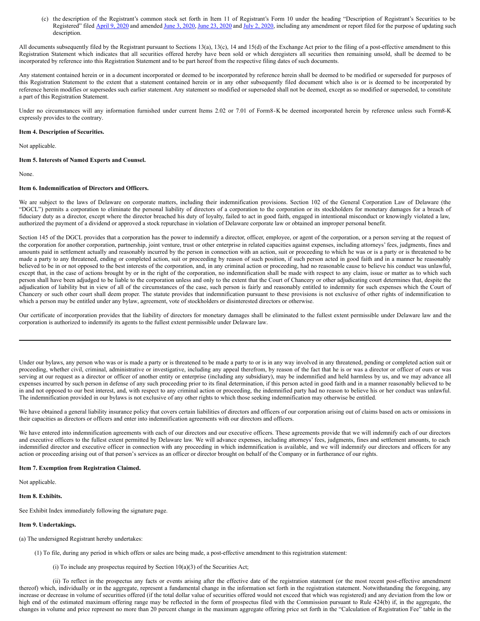(c) the description of the Registrant's common stock set forth in Item 11 of Registrant's Form 10 under the heading "Description of Registrant's Securities to be Registered" filed [April](https://www.sec.gov/Archives/edgar/data/1805024/000149315220006106/form10-12g.htm) 9, [2020](https://www.sec.gov/Archives/edgar/data/1805024/000149315220011618/form10-12ga.htm) and amended June 3, [2020,](https://www.sec.gov/Archives/edgar/data/1805024/000149315220012467/form10-12ga.htm) June 23, 2020 and July 2, 2020, including any amendment or report filed for the purpose of updating such description.

All documents subsequently filed by the Registrant pursuant to Sections 13(a), 13(c), 14 and 15(d) of the Exchange Act prior to the filing of a post-effective amendment to this Registration Statement which indicates that all securities offered hereby have been sold or which deregisters all securities then remaining unsold, shall be deemed to be incorporated by reference into this Registration Statement and to be part hereof from the respective filing dates of such documents.

Any statement contained herein or in a document incorporated or deemed to be incorporated by reference herein shall be deemed to be modified or superseded for purposes of this Registration Statement to the extent that a statement contained herein or in any other subsequently filed document which also is or is deemed to be incorporated by reference herein modifies or supersedes such earlier statement. Any statement so modified or superseded shall not be deemed, except as so modified or superseded, to constitute a part of this Registration Statement.

Under no circumstances will any information furnished under current Items 2.02 or 7.01 of Form8-K be deemed incorporated herein by reference unless such Form8-K expressly provides to the contrary.

#### **Item 4. Description of Securities.**

Not applicable.

#### **Item 5. Interests of Named Experts and Counsel.**

None.

## **Item 6. Indemnification of Directors and Officers.**

We are subject to the laws of Delaware on corporate matters, including their indemnification provisions. Section 102 of the General Corporation Law of Delaware (the "DGCL") permits a corporation to eliminate the personal liability of directors of a corporation to the corporation or its stockholders for monetary damages for a breach of fiduciary duty as a director, except where the director breached his duty of loyalty, failed to act in good faith, engaged in intentional misconduct or knowingly violated a law, authorized the payment of a dividend or approved a stock repurchase in violation of Delaware corporate law or obtained an improper personal benefit.

Section 145 of the DGCL provides that a corporation has the power to indemnify a director, officer, employee, or agent of the corporation, or a person serving at the request of the corporation for another corporation, partnership, joint venture, trust or other enterprise in related capacities against expenses, including attorneys' fees, judgments, fines and amounts paid in settlement actually and reasonably incurred by the person in connection with an action, suit or proceeding to which he was or is a party or is threatened to be made a party to any threatened, ending or completed action, suit or proceeding by reason of such position, if such person acted in good faith and in a manner he reasonably believed to be in or not opposed to the best interests of the corporation, and, in any criminal action or proceeding, had no reasonable cause to believe his conduct was unlawful, except that, in the case of actions brought by or in the right of the corporation, no indemnification shall be made with respect to any claim, issue or matter as to which such person shall have been adjudged to be liable to the corporation unless and only to the extent that the Court of Chancery or other adjudicating court determines that, despite the adjudication of liability but in view of all of the circumstances of the case, such person is fairly and reasonably entitled to indemnity for such expenses which the Court of Chancery or such other court shall deem proper. The statute provides that indemnification pursuant to these provisions is not exclusive of other rights of indemnification to which a person may be entitled under any bylaw, agreement, vote of stockholders or disinterested directors or otherwise.

Our certificate of incorporation provides that the liability of directors for monetary damages shall be eliminated to the fullest extent permissible under Delaware law and the corporation is authorized to indemnify its agents to the fullest extent permissible under Delaware law.

Under our bylaws, any person who was or is made a party or is threatened to be made a party to or is in any way involved in any threatened, pending or completed action suit or proceeding, whether civil, criminal, administrative or investigative, including any appeal therefrom, by reason of the fact that he is or was a director or officer of ours or was serving at our request as a director or officer of another entity or enterprise (including any subsidiary), may be indemnified and held harmless by us, and we may advance all expenses incurred by such person in defense of any such proceeding prior to its final determination, if this person acted in good faith and in a manner reasonably believed to be in and not opposed to our best interest, and, with respect to any criminal action or proceeding, the indemnified party had no reason to believe his or her conduct was unlawful. The indemnification provided in our bylaws is not exclusive of any other rights to which those seeking indemnification may otherwise be entitled.

We have obtained a general liability insurance policy that covers certain liabilities of directors and officers of our corporation arising out of claims based on acts or omissions in their capacities as directors or officers and enter into indemnification agreements with our directors and officers.

We have entered into indemnification agreements with each of our directors and our executive officers. These agreements provide that we will indemnify each of our directors and executive officers to the fullest extent permitted by Delaware law. We will advance expenses, including attorneys' fees, judgments, fines and settlement amounts, to each indemnified director and executive officer in connection with any proceeding in which indemnification is available, and we will indemnify our directors and officers for any action or proceeding arising out of that person's services as an officer or director brought on behalf of the Company or in furtherance of our rights.

#### **Item 7. Exemption from Registration Claimed.**

Not applicable.

# **Item 8. Exhibits.**

See Exhibit Index immediately following the signature page.

#### **Item 9. Undertakings.**

(a) The undersigned Registrant hereby undertakes:

(1) To file, during any period in which offers or sales are being made, a post-effective amendment to this registration statement:

(i) To include any prospectus required by Section  $10(a)(3)$  of the Securities Act;

(ii) To reflect in the prospectus any facts or events arising after the effective date of the registration statement (or the most recent post-effective amendment thereof) which, individually or in the aggregate, represent a fundamental change in the information set forth in the registration statement. Notwithstanding the foregoing, any increase or decrease in volume of securities offered (if the total dollar value of securities offered would not exceed that which was registered) and any deviation from the low or high end of the estimated maximum offering range may be reflected in the form of prospectus filed with the Commission pursuant to Rule 424(b) if, in the aggregate, the changes in volume and price represent no more than 20 percent change in the maximum aggregate offering price set forth in the "Calculation of Registration Fee" table in the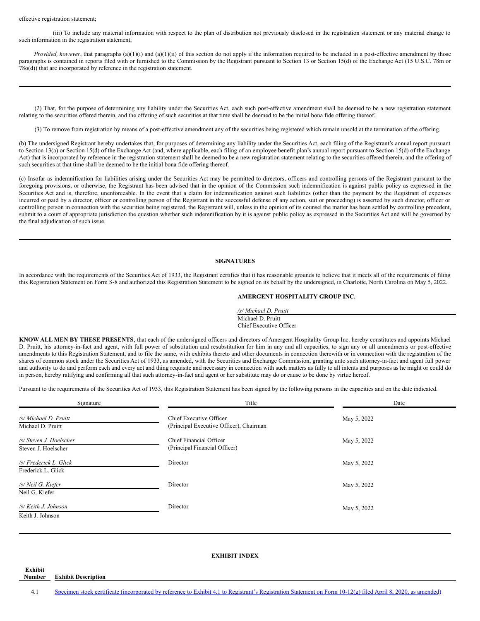#### effective registration statement;

(iii) To include any material information with respect to the plan of distribution not previously disclosed in the registration statement or any material change to such information in the registration statement;

*Provided, however*, that paragraphs (a)(1)(i) and (a)(1)(ii) of this section do not apply if the information required to be included in a post-effective amendment by those paragraphs is contained in reports filed with or furnished to the Commission by the Registrant pursuant to Section 13 or Section 15(d) of the Exchange Act (15 U.S.C. 78m or 78o(d)) that are incorporated by reference in the registration statement.

(2) That, for the purpose of determining any liability under the Securities Act, each such post-effective amendment shall be deemed to be a new registration statement relating to the securities offered therein, and the offering of such securities at that time shall be deemed to be the initial bona fide offering thereof.

(3) To remove from registration by means of a post-effective amendment any of the securities being registered which remain unsold at the termination of the offering.

(b) The undersigned Registrant hereby undertakes that, for purposes of determining any liability under the Securities Act, each filing of the Registrant's annual report pursuant to Section 13(a) or Section 15(d) of the Exchange Act (and, where applicable, each filing of an employee benefit plan's annual report pursuant to Section 15(d) of the Exchange Act) that is incorporated by reference in the registration statement shall be deemed to be a new registration statement relating to the securities offered therein, and the offering of such securities at that time shall be deemed to be the initial bona fide offering thereof.

(c) Insofar as indemnification for liabilities arising under the Securities Act may be permitted to directors, officers and controlling persons of the Registrant pursuant to the foregoing provisions, or otherwise, the Registrant has been advised that in the opinion of the Commission such indemnification is against public policy as expressed in the Securities Act and is, therefore, unenforceable. In the event that a claim for indemnification against such liabilities (other than the payment by the Registrant of expenses incurred or paid by a director, officer or controlling person of the Registrant in the successful defense of any action, suit or proceeding) is asserted by such director, officer or controlling person in connection with the securities being registered, the Registrant will, unless in the opinion of its counsel the matter has been settled by controlling precedent, submit to a court of appropriate jurisdiction the question whether such indemnification by it is against public policy as expressed in the Securities Act and will be governed by the final adjudication of such issue.

# **SIGNATURES**

In accordance with the requirements of the Securities Act of 1933, the Registrant certifies that it has reasonable grounds to believe that it meets all of the requirements of filing this Registration Statement on Form S-8 and authorized this Registration Statement to be signed on its behalf by the undersigned, in Charlotte, North Carolina on May 5, 2022.

## **AMERGENT HOSPITALITY GROUP INC.**

*/s/ Michael D. Pruitt* Michael D. Pruitt Chief Executive Officer

**KNOW ALL MEN BY THESE PRESENTS**, that each of the undersigned officers and directors of Amergent Hospitality Group Inc. hereby constitutes and appoints Michael D. Pruitt, his attorney-in-fact and agent, with full power of substitution and resubstitution for him in any and all capacities, to sign any or all amendments or post-effective amendments to this Registration Statement, and to file the same, with exhibits thereto and other documents in connection therewith or in connection with the registration of the shares of common stock under the Securities Act of 1933, as amended, with the Securities and Exchange Commission, granting unto such attorney-in-fact and agent full power and authority to do and perform each and every act and thing requisite and necessary in connection with such matters as fully to all intents and purposes as he might or could do in person, hereby ratifying and confirming all that such attorney-in-fact and agent or her substitute may do or cause to be done by virtue hereof.

Pursuant to the requirements of the Securities Act of 1933, this Registration Statement has been signed by the following persons in the capacities and on the date indicated.

| Signature                                      | Title                                                              | Date        |  |  |  |
|------------------------------------------------|--------------------------------------------------------------------|-------------|--|--|--|
| /s/ Michael D. Pruitt<br>Michael D. Pruitt     | Chief Executive Officer<br>(Principal Executive Officer), Chairman | May 5, 2022 |  |  |  |
| /s/ Steven J. Hoelscher<br>Steven J. Hoelscher | Chief Financial Officer<br>(Principal Financial Officer)           | May 5, 2022 |  |  |  |
| /s/ Frederick L. Glick<br>Frederick L. Glick   | Director                                                           | May 5, 2022 |  |  |  |
| /s/ Neil G. Kiefer<br>Neil G. Kiefer           | Director                                                           | May 5, 2022 |  |  |  |
| /s/ Keith J. Johnson<br>Keith J. Johnson       | Director                                                           | May 5, 2022 |  |  |  |

## **EXHIBIT INDEX**

**Number Exhibit Description**

**Exhibit**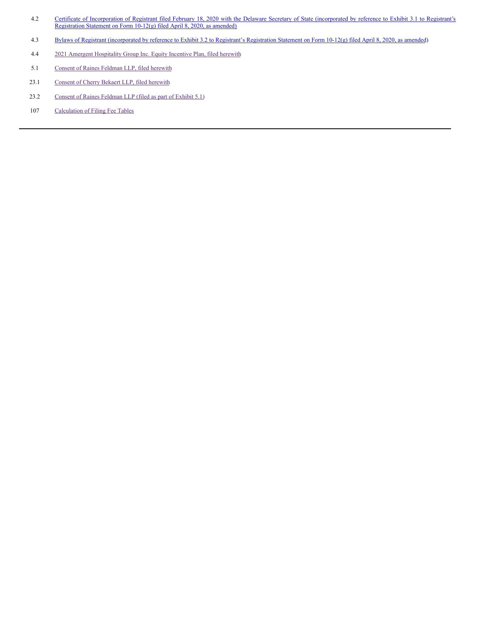- 4.2 Certificate of [Incorporation](https://www.sec.gov/Archives/edgar/data/1805024/000149315220006106/ex3-1.htm) of Registrant filed February 18, 2020 with the Delaware Secretary of State (incorporated by reference to Exhibit 3.1 to Registrant's Registration Statement on Form 10-12(g) filed April 8, 2020, as amended)
- 4.3 Bylaws of Registrant [\(incorporated](https://www.sec.gov/Archives/edgar/data/1805024/000149315220010456/ex3-3.htm) by reference to Exhibit 3.2 to Registrant's Registration Statement on Form 10-12(g) filed April 8, 2020, as amended)
- 4.4 2021 Amergent [Hospitality](#page-6-0) Group Inc. Equity Incentive Plan, filed herewith
- 5.1 Consent of Raines [Feldman](#page-10-0) LLP, filed herewith
- 23.1 [Consent](#page-11-0) of Cherry Bekaert LLP, filed herewith
- 23.2 Consent of Raines [Feldman](#page-10-0) LLP (filed as part of Exhibit 5.1)
- 107 [Calculation](#page-12-0) of Filing Fee Tables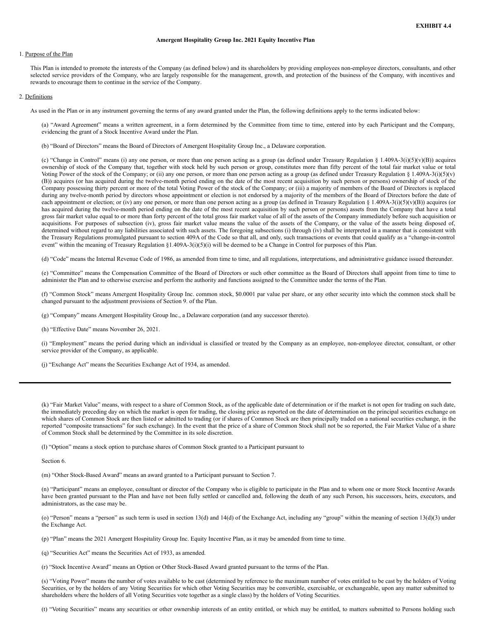#### **Amergent Hospitality Group Inc. 2021 Equity Incentive Plan**

#### 1. Purpose of the Plan

This Plan is intended to promote the interests of the Company (as defined below) and its shareholders by providing employees non-employee directors, consultants, and other selected service providers of the Company, who are largely responsible for the management, growth, and protection of the business of the Company, with incentives and rewards to encourage them to continue in the service of the Company.

#### 2. Definitions

As used in the Plan or in any instrument governing the terms of any award granted under the Plan, the following definitions apply to the terms indicated below:

(a) "Award Agreement" means a written agreement, in a form determined by the Committee from time to time, entered into by each Participant and the Company, evidencing the grant of a Stock Incentive Award under the Plan.

(b) "Board of Directors" means the Board of Directors of Amergent Hospitality Group Inc., a Delaware corporation.

(c) "Change in Control" means (i) any one person, or more than one person acting as a group (as defined under Treasury Regulation § 1.409A-3(i)(5)(v)(B)) acquires ownership of stock of the Company that, together with stock held by such person or group, constitutes more than fifty percent of the total fair market value or total Voting Power of the stock of the Company; or (ii) any one person, or more than one person acting as a group (as defined under Treasury Regulation § 1.409A-3(i)(5)(v) (B)) acquires (or has acquired during the twelve-month period ending on the date of the most recent acquisition by such person or persons) ownership of stock of the Company possessing thirty percent or more of the total Voting Power of the stock of the Company; or (iii) a majority of members of the Board of Directors is replaced during any twelve-month period by directors whose appointment or election is not endorsed by a majority of the members of the Board of Directors before the date of each appointment or election; or (iv) any one person, or more than one person acting as a group (as defined in Treasury Regulation § 1.409A-3(i)(5)(v)(B)) acquires (or has acquired during the twelve-month period ending on the date of the most recent acquisition by such person or persons) assets from the Company that have a total gross fair market value equal to or more than forty percent of the total gross fair market value of all of the assets of the Company immediately before such acquisition or acquisitions. For purposes of subsection (iv), gross fair market value means the value of the assets of the Company, or the value of the assets being disposed of, determined without regard to any liabilities associated with such assets. The foregoing subsections (i) through (iv) shall be interpreted in a manner that is consistent with the Treasury Regulations promulgated pursuant to section 409A of the Code so that all, and only, such transactions or events that could qualify as a "change-in-control event" within the meaning of Treasury Regulation §1.409A-3(i)(5)(i) will be deemed to be a Change in Control for purposes of this Plan.

(d) "Code" means the Internal Revenue Code of 1986, as amended from time to time, and all regulations, interpretations, and administrative guidance issued thereunder.

(e) "Committee" means the Compensation Committee of the Board of Directors or such other committee as the Board of Directors shall appoint from time to time to administer the Plan and to otherwise exercise and perform the authority and functions assigned to the Committee under the terms of the Plan.

(f) "Common Stock" means Amergent Hospitality Group Inc. common stock, \$0.0001 par value per share, or any other security into which the common stock shall be changed pursuant to the adjustment provisions of Section 9. of the Plan.

(g) "Company" means Amergent Hospitality Group Inc., a Delaware corporation (and any successor thereto).

(h) "Effective Date" means November 26, 2021.

(i) "Employment" means the period during which an individual is classified or treated by the Company as an employee, non-employee director, consultant, or other service provider of the Company, as applicable.

(j) "Exchange Act" means the Securities Exchange Act of 1934, as amended.

(k) "Fair Market Value" means, with respect to a share of Common Stock, as of the applicable date of determination or if the market is not open for trading on such date, the immediately preceding day on which the market is open for trading, the closing price as reported on the date of determination on the principal securities exchange on which shares of Common Stock are then listed or admitted to trading (or if shares of Common Stock are then principally traded on a national securities exchange, in the reported "composite transactions" for such exchange). In the event that the price of a share of Common Stock shall not be so reported, the Fair Market Value of a share of Common Stock shall be determined by the Committee in its sole discretion.

(l) "Option" means a stock option to purchase shares of Common Stock granted to a Participant pursuant to

Section 6.

(m) "Other Stock-Based Award" means an award granted to a Participant pursuant to Section 7.

(n) "Participant" means an employee, consultant or director of the Company who is eligible to participate in the Plan and to whom one or more Stock Incentive Awards have been granted pursuant to the Plan and have not been fully settled or cancelled and, following the death of any such Person, his successors, heirs, executors, and administrators, as the case may be.

(o) "Person" means a "person" as such term is used in section 13(d) and 14(d) of the Exchange Act, including any "group" within the meaning of section 13(d)(3) under the Exchange Act.

(p) "Plan" means the 2021 Amergent Hospitality Group Inc. Equity Incentive Plan, as it may be amended from time to time.

(q) "Securities Act" means the Securities Act of 1933, as amended.

(r) "Stock Incentive Award" means an Option or Other Stock-Based Award granted pursuant to the terms of the Plan.

(s) "Voting Power" means the number of votes available to be cast (determined by reference to the maximum number of votes entitled to be cast by the holders of Voting Securities, or by the holders of any Voting Securities for which other Voting Securities may be convertible, exercisable, or exchangeable, upon any matter submitted to shareholders where the holders of all Voting Securities vote together as a single class) by the holders of Voting Securities.

(t) "Voting Securities" means any securities or other ownership interests of an entity entitled, or which may be entitled, to matters submitted to Persons holding such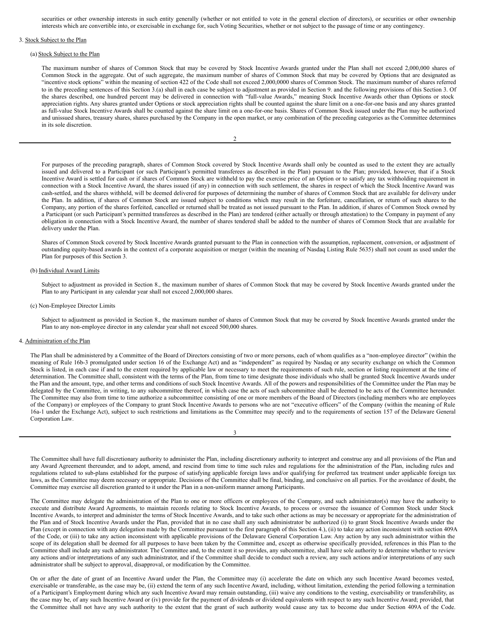securities or other ownership interests in such entity generally (whether or not entitled to vote in the general election of directors), or securities or other ownership interests which are convertible into, or exercisable in exchange for, such Voting Securities, whether or not subject to the passage of time or any contingency.

# 3. Stock Subject to the Plan

#### (a) Stock Subject to the Plan

The maximum number of shares of Common Stock that may be covered by Stock Incentive Awards granted under the Plan shall not exceed 2,000,000 shares of Common Stock in the aggregate. Out of such aggregate, the maximum number of shares of Common Stock that may be covered by Options that are designated as "incentive stock options" within the meaning of section 422 of the Code shall not exceed 2,000,0000 shares of Common Stock. The maximum number of shares referred to in the preceding sentences of this Section 3.(a) shall in each case be subject to adjustment as provided in Section 9. and the following provisions of this Section 3. Of the shares described, one hundred percent may be delivered in connection with "full-value Awards," meaning Stock Incentive Awards other than Options or stock appreciation rights. Any shares granted under Options or stock appreciation rights shall be counted against the share limit on a one-for-one basis and any shares granted as full-value Stock Incentive Awards shall be counted against the share limit on a one-for-one basis. Shares of Common Stock issued under the Plan may be authorized and unissued shares, treasury shares, shares purchased by the Company in the open market, or any combination of the preceding categories as the Committee determines in its sole discretion.

| ł |
|---|
|   |
|   |

For purposes of the preceding paragraph, shares of Common Stock covered by Stock Incentive Awards shall only be counted as used to the extent they are actually issued and delivered to a Participant (or such Participant's permitted transferees as described in the Plan) pursuant to the Plan; provided, however, that if a Stock Incentive Award is settled for cash or if shares of Common Stock are withheld to pay the exercise price of an Option or to satisfy any tax withholding requirement in connection with a Stock Incentive Award, the shares issued (if any) in connection with such settlement, the shares in respect of which the Stock Incentive Award was cash-settled, and the shares withheld, will be deemed delivered for purposes of determining the number of shares of Common Stock that are available for delivery under the Plan. In addition, if shares of Common Stock are issued subject to conditions which may result in the forfeiture, cancellation, or return of such shares to the Company, any portion of the shares forfeited, cancelled or returned shall be treated as not issued pursuant to the Plan. In addition, if shares of Common Stock owned by a Participant (or such Participant's permitted transferees as described in the Plan) are tendered (either actually or through attestation) to the Company in payment of any obligation in connection with a Stock Incentive Award, the number of shares tendered shall be added to the number of shares of Common Stock that are available for delivery under the Plan.

Shares of Common Stock covered by Stock Incentive Awards granted pursuant to the Plan in connection with the assumption, replacement, conversion, or adjustment of outstanding equity-based awards in the context of a corporate acquisition or merger (within the meaning of Nasdaq Listing Rule 5635) shall not count as used under the Plan for purposes of this Section 3.

#### (b) Individual Award Limits

Subject to adjustment as provided in Section 8., the maximum number of shares of Common Stock that may be covered by Stock Incentive Awards granted under the Plan to any Participant in any calendar year shall not exceed 2,000,000 shares.

#### (c) Non-Employee Director Limits

Subject to adjustment as provided in Section 8., the maximum number of shares of Common Stock that may be covered by Stock Incentive Awards granted under the Plan to any non-employee director in any calendar year shall not exceed 500,000 shares.

#### 4. Administration of the Plan

The Plan shall be administered by a Committee of the Board of Directors consisting of two or more persons, each of whom qualifies as a "non-employee director" (within the meaning of Rule 16b-3 promulgated under section 16 of the Exchange Act) and as "independent" as required by Nasdaq or any security exchange on which the Common Stock is listed, in each case if and to the extent required by applicable law or necessary to meet the requirements of such rule, section or listing requirement at the time of determination. The Committee shall, consistent with the terms of the Plan, from time to time designate those individuals who shall be granted Stock Incentive Awards under the Plan and the amount, type, and other terms and conditions of such Stock Incentive Awards. All of the powers and responsibilities of the Committee under the Plan may be delegated by the Committee, in writing, to any subcommittee thereof, in which case the acts of such subcommittee shall be deemed to be acts of the Committee hereunder. The Committee may also from time to time authorize a subcommittee consisting of one or more members of the Board of Directors (including members who are employees of the Company) or employees of the Company to grant Stock Incentive Awards to persons who are not "executive officers" of the Company (within the meaning of Rule 16a-1 under the Exchange Act), subject to such restrictions and limitations as the Committee may specify and to the requirements of section 157 of the Delaware General Corporation Law.

| ۰,<br>I |
|---------|
| ÷       |

The Committee shall have full discretionary authority to administer the Plan, including discretionary authority to interpret and construe any and all provisions of the Plan and any Award Agreement thereunder, and to adopt, amend, and rescind from time to time such rules and regulations for the administration of the Plan, including rules and regulations related to sub-plans established for the purpose of satisfying applicable foreign laws and/or qualifying for preferred tax treatment under applicable foreign tax laws, as the Committee may deem necessary or appropriate. Decisions of the Committee shall be final, binding, and conclusive on all parties. For the avoidance of doubt, the Committee may exercise all discretion granted to it under the Plan in a non-uniform manner among Participants.

The Committee may delegate the administration of the Plan to one or more officers or employees of the Company, and such administrator(s) may have the authority to execute and distribute Award Agreements, to maintain records relating to Stock Incentive Awards, to process or oversee the issuance of Common Stock under Stock Incentive Awards, to interpret and administer the terms of Stock Incentive Awards, and to take such other actions as may be necessary or appropriate for the administration of the Plan and of Stock Incentive Awards under the Plan, provided that in no case shall any such administrator be authorized (i) to grant Stock Incentive Awards under the Plan (except in connection with any delegation made by the Committee pursuant to the first paragraph of this Section 4.), (ii) to take any action inconsistent with section 409A of the Code, or (iii) to take any action inconsistent with applicable provisions of the Delaware General Corporation Law. Any action by any such administrator within the scope of its delegation shall be deemed for all purposes to have been taken by the Committee and, except as otherwise specifically provided, references in this Plan to the Committee shall include any such administrator. The Committee and, to the extent it so provides, any subcommittee, shall have sole authority to determine whether to review any actions and/or interpretations of any such administrator, and if the Committee shall decide to conduct such a review, any such actions and/or interpretations of any such administrator shall be subject to approval, disapproval, or modification by the Committee.

On or after the date of grant of an Incentive Award under the Plan, the Committee may (i) accelerate the date on which any such Incentive Award becomes vested, exercisable or transferable, as the case may be, (ii) extend the term of any such Incentive Award, including, without limitation, extending the period following a termination of a Participant's Employment during which any such Incentive Award may remain outstanding, (iii) waive any conditions to the vesting, exercisability or transferability, as the case may be, of any such Incentive Award or (iv) provide for the payment of dividends or dividend equivalents with respect to any such Incentive Award; provided, that the Committee shall not have any such authority to the extent that the grant of such authority would cause any tax to become due under Section 409A of the Code.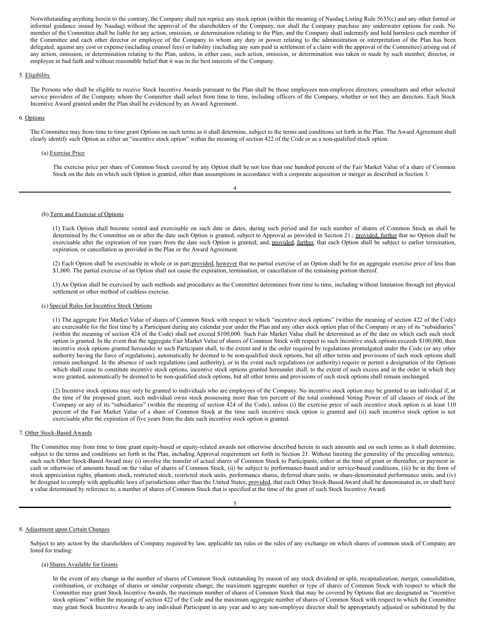<span id="page-6-0"></span>Notwithstanding anything herein to the contrary, the Company shall not reprice any stock option (within the meaning of Nasdaq Listing Rule 5635(c) and any other formal or informal guidance issued by Nasdaq) without the approval of the shareholders of the Company, nor shall the Company purchase any underwater options for cash. No member of the Committee shall be liable for any action, omission, or determination relating to the Plan, and the Company shall indemnify and hold harmless each member of the Committee and each other director or employee of the Company to whom any duty or power relating to the administration or interpretation of the Plan has been delegated, against any cost or expense (including counsel fees) or liability (including any sum paid in settlement of a claim with the approval of the Committee) arising out of any action, omission, or determination relating to the Plan, unless, in either case, such action, omission, or determination was taken or made by such member, director, or employee in bad faith and without reasonable belief that it was in the best interests of the Company.

#### 5. Eligibility

The Persons who shall be eligible to receive Stock Incentive Awards pursuant to the Plan shall be those employees non-employee directors, consultants and other selected service providers of the Company whom the Committee shall select from time to time, including officers of the Company, whether or not they are directors. Each Stock Incentive Award granted under the Plan shall be evidenced by an Award Agreement.

#### 6. Options

The Committee may from time to time grant Options on such terms as it shall determine, subject to the terms and conditions set forth in the Plan. The Award Agreement shall clearly identify such Option as either an "incentive stock option" within the meaning of section 422 of the Code or as a non-qualified stock option.

4

## (a) Exercise Price

The exercise price per share of Common Stock covered by any Option shall be not less than one hundred percent of the Fair Market Value of a share of Common Stock on the date on which such Option is granted, other than assumptions in accordance with a corporate acquisition or merger as described in Section 3.

# (b) Term and Exercise of Options

(1) Each Option shall become vested and exercisable on such date or dates, during such period and for such number of shares of Common Stock as shall be determined by the Committee on or after the date such Option is granted, subject to Approval as provided in Section 21.; provided, further that no Option shall be exercisable after the expiration of ten years from the date such Option is granted; and, provided, further, that each Option shall be subject to earlier termination, expiration, or cancellation as provided in the Plan or the Award Agreement.

(2) Each Option shall be exercisable in whole or in part;provided, however that no partial exercise of an Option shall be for an aggregate exercise price of less than \$1,000. The partial exercise of an Option shall not cause the expiration, termination, or cancellation of the remaining portion thereof.

(3) An Option shall be exercised by such methods and procedures as the Committee determines from time to time, including without limitation through net physical settlement or other method of cashless exercise.

#### (c) Special Rules for Incentive Stock Options

(1) The aggregate Fair Market Value of shares of Common Stock with respect to which "incentive stock options" (within the meaning of section 422 of the Code) are exercisable for the first time by a Participant during any calendar year under the Plan and any other stock option plan of the Company or any of its "subsidiaries" (within the meaning of section 424 of the Code) shall not exceed \$100,000. Such Fair Market Value shall be determined as of the date on which each such stock option is granted. In the event that the aggregate Fair Market Value of shares of Common Stock with respect to such incentive stock options exceeds \$100,000, then incentive stock options granted hereunder to such Participant shall, to the extent and in the order required by regulations promulgated under the Code (or any other authority having the force of regulations), automatically be deemed to be non-qualified stock options, but all other terms and provisions of such stock options shall remain unchanged. In the absence of such regulations (and authority), or in the event such regulations (or authority) require or permit a designation of the Options which shall cease to constitute incentive stock options, incentive stock options granted hereunder shall, to the extent of such excess and in the order in which they were granted, automatically be deemed to be non-qualified stock options, but all other terms and provisions of such stock options shall remain unchanged.

(2) Incentive stock options may only be granted to individuals who are employees of the Company. No incentive stock option may be granted to an individual if, at the time of the proposed grant, such individual owns stock possessing more than ten percent of the total combined Voting Power of all classes of stock of the Company or any of its "subsidiaries" (within the meaning of section 424 of the Code), unless (i) the exercise price of such incentive stock option is at least 110 percent of the Fair Market Value of a share of Common Stock at the time such incentive stock option is granted and (ii) such incentive stock option is not exercisable after the expiration of five years from the date such incentive stock option is granted.

#### 7. Other Stock-Based Awards

The Committee may from time to time grant equity-based or equity-related awards not otherwise described herein in such amounts and on such terms as it shall determine, subject to the terms and conditions set forth in the Plan, including Approval requirement set forth in Section 21. Without limiting the generality of the preceding sentence, each such Other Stock-Based Award may (i) involve the transfer of actual shares of Common Stock to Participants, either at the time of grant or thereafter, or payment in cash or otherwise of amounts based on the value of shares of Common Stock, (ii) be subject to performance-based and/or service-based conditions, (iii) be in the form of stock appreciation rights, phantom stock, restricted stock, restricted stock units, performance shares, deferred share units, or share-denominated performance units, and (iv) be designed to comply with applicable laws of jurisdictions other than the United States; provided, that each Other Stock-Based Award shall be denominated in, or shall have a value determined by reference to, a number of shares of Common Stock that is specified at the time of the grant of such Stock Incentive Award.

#### 8. Adjustment upon Certain Changes

Subject to any action by the shareholders of Company required by law, applicable tax rules or the rules of any exchange on which shares of common stock of Company are listed for trading:

## (a) Shares Available for Grants

In the event of any change in the number of shares of Common Stock outstanding by reason of any stock dividend or split, recapitalization, merger, consolidation, combination, or exchange of shares or similar corporate change, the maximum aggregate number or type of shares of Common Stock with respect to which the Committee may grant Stock Incentive Awards, the maximum number of shares of Common Stock that may be covered by Options that are designated as "incentive stock options" within the meaning of section 422 of the Code and the maximum aggregate number of shares of Common Stock with respect to which the Committee may grant Stock Incentive Awards to any individual Participant in any year and to any non-employee director shall be appropriately adjusted or substituted by the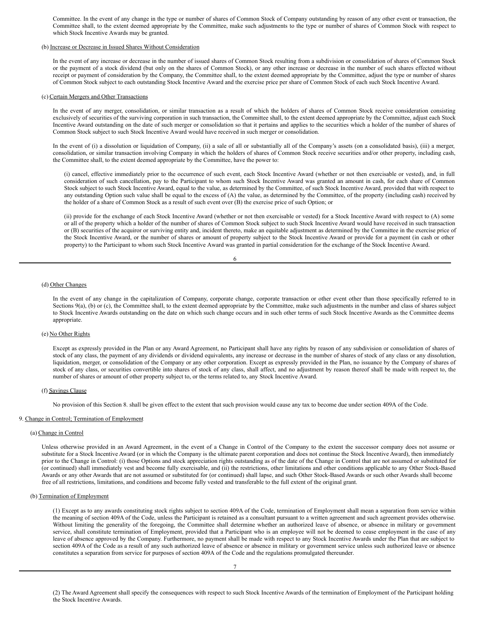Committee. In the event of any change in the type or number of shares of Common Stock of Company outstanding by reason of any other event or transaction, the Committee shall, to the extent deemed appropriate by the Committee, make such adjustments to the type or number of shares of Common Stock with respect to which Stock Incentive Awards may be granted.

# (b) Increase or Decrease in Issued Shares Without Consideration

In the event of any increase or decrease in the number of issued shares of Common Stock resulting from a subdivision or consolidation of shares of Common Stock or the payment of a stock dividend (but only on the shares of Common Stock), or any other increase or decrease in the number of such shares effected without receipt or payment of consideration by the Company, the Committee shall, to the extent deemed appropriate by the Committee, adjust the type or number of shares of Common Stock subject to each outstanding Stock Incentive Award and the exercise price per share of Common Stock of each such Stock Incentive Award.

#### (c) Certain Mergers and Other Transactions

In the event of any merger, consolidation, or similar transaction as a result of which the holders of shares of Common Stock receive consideration consisting exclusively of securities of the surviving corporation in such transaction, the Committee shall, to the extent deemed appropriate by the Committee, adjust each Stock Incentive Award outstanding on the date of such merger or consolidation so that it pertains and applies to the securities which a holder of the number of shares of Common Stock subject to such Stock Incentive Award would have received in such merger or consolidation.

In the event of (i) a dissolution or liquidation of Company, (ii) a sale of all or substantially all of the Company's assets (on a consolidated basis), (iii) a merger, consolidation, or similar transaction involving Company in which the holders of shares of Common Stock receive securities and/or other property, including cash, the Committee shall, to the extent deemed appropriate by the Committee, have the power to:

(i) cancel, effective immediately prior to the occurrence of such event, each Stock Incentive Award (whether or not then exercisable or vested), and, in full consideration of such cancellation, pay to the Participant to whom such Stock Incentive Award was granted an amount in cash, for each share of Common Stock subject to such Stock Incentive Award, equal to the value, as determined by the Committee, of such Stock Incentive Award, provided that with respect to any outstanding Option such value shall be equal to the excess of (A) the value, as determined by the Committee, of the property (including cash) received by the holder of a share of Common Stock as a result of such event over (B) the exercise price of such Option; or

(ii) provide for the exchange of each Stock Incentive Award (whether or not then exercisable or vested) for a Stock Incentive Award with respect to (A) some or all of the property which a holder of the number of shares of Common Stock subject to such Stock Incentive Award would have received in such transaction or (B) securities of the acquiror or surviving entity and, incident thereto, make an equitable adjustment as determined by the Committee in the exercise price of the Stock Incentive Award, or the number of shares or amount of property subject to the Stock Incentive Award or provide for a payment (in cash or other property) to the Participant to whom such Stock Incentive Award was granted in partial consideration for the exchange of the Stock Incentive Award.

| ٧<br>I<br>I<br>۰, |
|-------------------|
|-------------------|

#### (d) Other Changes

In the event of any change in the capitalization of Company, corporate change, corporate transaction or other event other than those specifically referred to in Sections 9(a), (b) or (c), the Committee shall, to the extent deemed appropriate by the Committee, make such adjustments in the number and class of shares subject to Stock Incentive Awards outstanding on the date on which such change occurs and in such other terms of such Stock Incentive Awards as the Committee deems appropriate.

#### (e) No Other Rights

Except as expressly provided in the Plan or any Award Agreement, no Participant shall have any rights by reason of any subdivision or consolidation of shares of stock of any class, the payment of any dividends or dividend equivalents, any increase or decrease in the number of shares of stock of any class or any dissolution, liquidation, merger, or consolidation of the Company or any other corporation. Except as expressly provided in the Plan, no issuance by the Company of shares of stock of any class, or securities convertible into shares of stock of any class, shall affect, and no adjustment by reason thereof shall be made with respect to, the number of shares or amount of other property subject to, or the terms related to, any Stock Incentive Award.

#### (f) Savings Clause

No provision of this Section 8. shall be given effect to the extent that such provision would cause any tax to become due under section 409A of the Code.

#### 9. Change in Control; Termination of Employment

#### (a) Change in Control

Unless otherwise provided in an Award Agreement, in the event of a Change in Control of the Company to the extent the successor company does not assume or substitute for a Stock Incentive Award (or in which the Company is the ultimate parent corporation and does not continue the Stock Incentive Award), then immediately prior to the Change in Control: (i) those Options and stock appreciation rights outstanding as of the date of the Change in Control that are not assumed or substituted for (or continued) shall immediately vest and become fully exercisable, and (ii) the restrictions, other limitations and other conditions applicable to any Other Stock-Based Awards or any other Awards that are not assumed or substituted for (or continued) shall lapse, and such Other Stock-Based Awards or such other Awards shall become free of all restrictions, limitations, and conditions and become fully vested and transferable to the full extent of the original grant.

#### (b) Termination of Employment

(1) Except as to any awards constituting stock rights subject to section 409A of the Code, termination of Employment shall mean a separation from service within the meaning of section 409A of the Code, unless the Participant is retained as a consultant pursuant to a written agreement and such agreement provides otherwise. Without limiting the generality of the foregoing, the Committee shall determine whether an authorized leave of absence, or absence in military or government service, shall constitute termination of Employment, provided that a Participant who is an employee will not be deemed to cease employment in the case of any leave of absence approved by the Company. Furthermore, no payment shall be made with respect to any Stock Incentive Awards under the Plan that are subject to section 409A of the Code as a result of any such authorized leave of absence or absence in military or government service unless such authorized leave or absence constitutes a separation from service for purposes of section 409A of the Code and the regulations promulgated thereunder.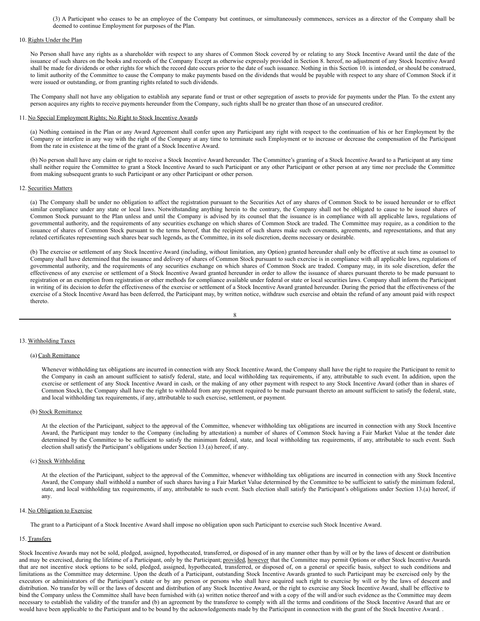(3) A Participant who ceases to be an employee of the Company but continues, or simultaneously commences, services as a director of the Company shall be deemed to continue Employment for purposes of the Plan.

#### 10. Rights Under the Plan

No Person shall have any rights as a shareholder with respect to any shares of Common Stock covered by or relating to any Stock Incentive Award until the date of the issuance of such shares on the books and records of the Company Except as otherwise expressly provided in Section 8. hereof, no adjustment of any Stock Incentive Award shall be made for dividends or other rights for which the record date occurs prior to the date of such issuance. Nothing in this Section 10. is intended, or should be construed, to limit authority of the Committee to cause the Company to make payments based on the dividends that would be payable with respect to any share of Common Stock if it were issued or outstanding, or from granting rights related to such dividends.

The Company shall not have any obligation to establish any separate fund or trust or other segregation of assets to provide for payments under the Plan. To the extent any person acquires any rights to receive payments hereunder from the Company, such rights shall be no greater than those of an unsecured creditor.

#### 11. No Special Employment Rights; No Right to Stock Incentive Awards

(a) Nothing contained in the Plan or any Award Agreement shall confer upon any Participant any right with respect to the continuation of his or her Employment by the Company or interfere in any way with the right of the Company at any time to terminate such Employment or to increase or decrease the compensation of the Participant from the rate in existence at the time of the grant of a Stock Incentive Award.

(b) No person shall have any claim or right to receive a Stock Incentive Award hereunder. The Committee's granting of a Stock Incentive Award to a Participant at any time shall neither require the Committee to grant a Stock Incentive Award to such Participant or any other Participant or other person at any time nor preclude the Committee from making subsequent grants to such Participant or any other Participant or other person.

#### 12. Securities Matters

(a) The Company shall be under no obligation to affect the registration pursuant to the Securities Act of any shares of Common Stock to be issued hereunder or to effect similar compliance under any state or local laws. Notwithstanding anything herein to the contrary, the Company shall not be obligated to cause to be issued shares of Common Stock pursuant to the Plan unless and until the Company is advised by its counsel that the issuance is in compliance with all applicable laws, regulations of governmental authority, and the requirements of any securities exchange on which shares of Common Stock are traded. The Committee may require, as a condition to the issuance of shares of Common Stock pursuant to the terms hereof, that the recipient of such shares make such covenants, agreements, and representations, and that any related certificates representing such shares bear such legends, as the Committee, in its sole discretion, deems necessary or desirable.

(b) The exercise or settlement of any Stock Incentive Award (including, without limitation, any Option) granted hereunder shall only be effective at such time as counsel to Company shall have determined that the issuance and delivery of shares of Common Stock pursuant to such exercise is in compliance with all applicable laws, regulations of governmental authority, and the requirements of any securities exchange on which shares of Common Stock are traded. Company may, in its sole discretion, defer the effectiveness of any exercise or settlement of a Stock Incentive Award granted hereunder in order to allow the issuance of shares pursuant thereto to be made pursuant to registration or an exemption from registration or other methods for compliance available under federal or state or local securities laws. Company shall inform the Participant in writing of its decision to defer the effectiveness of the exercise or settlement of a Stock Incentive Award granted hereunder. During the period that the effectiveness of the exercise of a Stock Incentive Award has been deferred, the Participant may, by written notice, withdraw such exercise and obtain the refund of any amount paid with respect thereto.

$$
8 \\
$$

#### 13. Withholding Taxes

#### (a) Cash Remittance

Whenever withholding tax obligations are incurred in connection with any Stock Incentive Award, the Company shall have the right to require the Participant to remit to the Company in cash an amount sufficient to satisfy federal, state, and local withholding tax requirements, if any, attributable to such event. In addition, upon the exercise or settlement of any Stock Incentive Award in cash, or the making of any other payment with respect to any Stock Incentive Award (other than in shares of Common Stock), the Company shall have the right to withhold from any payment required to be made pursuant thereto an amount sufficient to satisfy the federal, state, and local withholding tax requirements, if any, attributable to such exercise, settlement, or payment.

#### (b) Stock Remittance

At the election of the Participant, subject to the approval of the Committee, whenever withholding tax obligations are incurred in connection with any Stock Incentive Award, the Participant may tender to the Company (including by attestation) a number of shares of Common Stock having a Fair Market Value at the tender date determined by the Committee to be sufficient to satisfy the minimum federal, state, and local withholding tax requirements, if any, attributable to such event. Such election shall satisfy the Participant's obligations under Section 13.(a) hereof, if any.

#### (c) Stock Withholding

At the election of the Participant, subject to the approval of the Committee, whenever withholding tax obligations are incurred in connection with any Stock Incentive Award, the Company shall withhold a number of such shares having a Fair Market Value determined by the Committee to be sufficient to satisfy the minimum federal, state, and local withholding tax requirements, if any, attributable to such event. Such election shall satisfy the Participant's obligations under Section 13.(a) hereof, if any.

#### 14. No Obligation to Exercise

The grant to a Participant of a Stock Incentive Award shall impose no obligation upon such Participant to exercise such Stock Incentive Award.

#### 15. Transfers

Stock Incentive Awards may not be sold, pledged, assigned, hypothecated, transferred, or disposed of in any manner other than by will or by the laws of descent or distribution and may be exercised, during the lifetime of a Participant, only by the Participant; provided, however that the Committee may permit Options or other Stock Incentive Awards that are not incentive stock options to be sold, pledged, assigned, hypothecated, transferred, or disposed of, on a general or specific basis, subject to such conditions and limitations as the Committee may determine. Upon the death of a Participant, outstanding Stock Incentive Awards granted to such Participant may be exercised only by the executors or administrators of the Participant's estate or by any person or persons who shall have acquired such right to exercise by will or by the laws of descent and distribution. No transfer by will or the laws of descent and distribution of any Stock Incentive Award, or the right to exercise any Stock Incentive Award, shall be effective to bind the Company unless the Committee shall have been furnished with (a) written notice thereof and with a copy of the will and/or such evidence as the Committee may deem necessary to establish the validity of the transfer and (b) an agreement by the transferee to comply with all the terms and conditions of the Stock Incentive Award that are or would have been applicable to the Participant and to be bound by the acknowledgements made by the Participant in connection with the grant of the Stock Incentive Award. .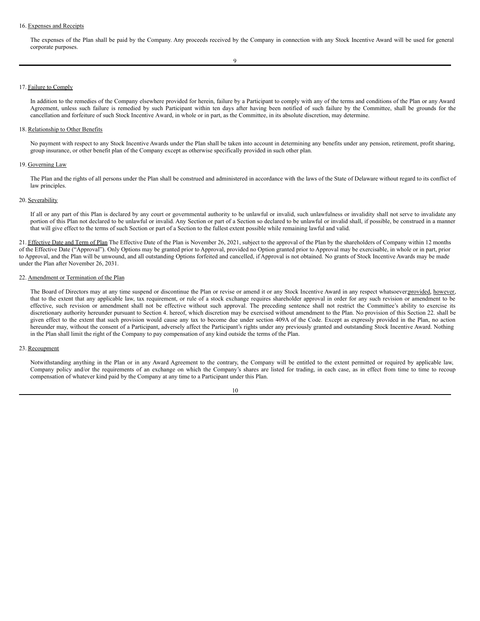#### 16. Expenses and Receipts

The expenses of the Plan shall be paid by the Company. Any proceeds received by the Company in connection with any Stock Incentive Award will be used for general corporate purposes.

# 17. Failure to Comply

In addition to the remedies of the Company elsewhere provided for herein, failure by a Participant to comply with any of the terms and conditions of the Plan or any Award Agreement, unless such failure is remedied by such Participant within ten days after having been notified of such failure by the Committee, shall be grounds for the cancellation and forfeiture of such Stock Incentive Award, in whole or in part, as the Committee, in its absolute discretion, may determine.

#### 18. Relationship to Other Benefits

No payment with respect to any Stock Incentive Awards under the Plan shall be taken into account in determining any benefits under any pension, retirement, profit sharing, group insurance, or other benefit plan of the Company except as otherwise specifically provided in such other plan.

#### 19. Governing Law

The Plan and the rights of all persons under the Plan shall be construed and administered in accordance with the laws of the State of Delaware without regard to its conflict of law principles.

#### 20. Severability

If all or any part of this Plan is declared by any court or governmental authority to be unlawful or invalid, such unlawfulness or invalidity shall not serve to invalidate any portion of this Plan not declared to be unlawful or invalid. Any Section or part of a Section so declared to be unlawful or invalid shall, if possible, be construed in a manner that will give effect to the terms of such Section or part of a Section to the fullest extent possible while remaining lawful and valid.

21. Effective Date and Term of Plan The Effective Date of the Plan is November 26, 2021, subject to the approval of the Plan by the shareholders of Company within 12 months of the Effective Date ("Approval"). Only Options may be granted prior to Approval, provided no Option granted prior to Approval may be exercisable, in whole or in part, prior to Approval, and the Plan will be unwound, and all outstanding Options forfeited and cancelled, if Approval is not obtained. No grants of Stock Incentive Awards may be made under the Plan after November 26, 2031.

#### 22. Amendment or Termination of the Plan

The Board of Directors may at any time suspend or discontinue the Plan or revise or amend it or any Stock Incentive Award in any respect whatsoever:provided, however, that to the extent that any applicable law, tax requirement, or rule of a stock exchange requires shareholder approval in order for any such revision or amendment to be effective, such revision or amendment shall not be effective without such approval. The preceding sentence shall not restrict the Committee's ability to exercise its discretionary authority hereunder pursuant to Section 4. hereof, which discretion may be exercised without amendment to the Plan. No provision of this Section 22. shall be given effect to the extent that such provision would cause any tax to become due under section 409A of the Code. Except as expressly provided in the Plan, no action hereunder may, without the consent of a Participant, adversely affect the Participant's rights under any previously granted and outstanding Stock Incentive Award. Nothing in the Plan shall limit the right of the Company to pay compensation of any kind outside the terms of the Plan.

## 23. Recoupment

Notwithstanding anything in the Plan or in any Award Agreement to the contrary, the Company will be entitled to the extent permitted or required by applicable law, Company policy and/or the requirements of an exchange on which the Company's shares are listed for trading, in each case, as in effect from time to time to recoup compensation of whatever kind paid by the Company at any time to a Participant under this Plan.

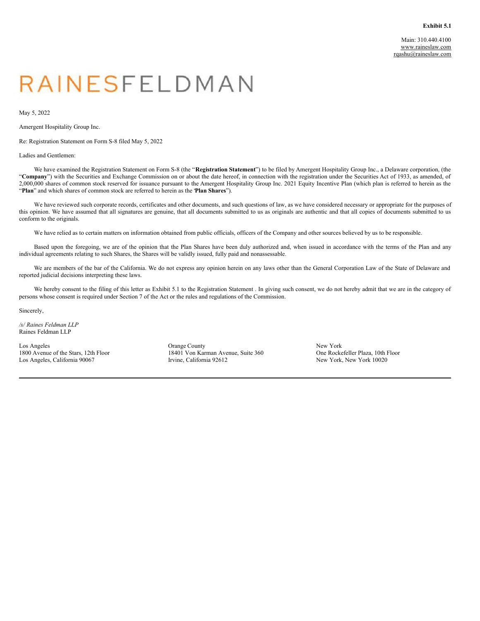# <span id="page-10-0"></span>RAINESFELDMAN

May 5, 2022

Amergent Hospitality Group Inc.

Re: Registration Statement on Form S-8 filed May 5, 2022

# Ladies and Gentlemen:

We have examined the Registration Statement on Form S-8 (the "**Registration Statement**") to be filed by Amergent Hospitality Group Inc., a Delaware corporation, (the "Company") with the Securities and Exchange Commission on or about the date hereof, in connection with the registration under the Securities Act of 1933, as amended, of 2,000,000 shares of common stock reserved for issuance pursuant to the Amergent Hospitality Group Inc. 2021 Equity Incentive Plan (which plan is referred to herein as the "**Plan**" and which shares of common stock are referred to herein as the "**Plan Shares**").

We have reviewed such corporate records, certificates and other documents, and such questions of law, as we have considered necessary or appropriate for the purposes of this opinion. We have assumed that all signatures are genuine, that all documents submitted to us as originals are authentic and that all copies of documents submitted to us conform to the originals.

We have relied as to certain matters on information obtained from public officials, officers of the Company and other sources believed by us to be responsible.

Based upon the foregoing, we are of the opinion that the Plan Shares have been duly authorized and, when issued in accordance with the terms of the Plan and any individual agreements relating to such Shares, the Shares will be validly issued, fully paid and nonassessable.

We are members of the bar of the California. We do not express any opinion herein on any laws other than the General Corporation Law of the State of Delaware and reported judicial decisions interpreting these laws.

We hereby consent to the filing of this letter as Exhibit 5.1 to the Registration Statement . In giving such consent, we do not hereby admit that we are in the category of persons whose consent is required under Section 7 of the Act or the rules and regulations of the Commission.

Sincerely,

*/s/ Raines Feldman LLP* Raines Feldman LLP

Los Angeles 1800 Avenue of the Stars, 12th Floor Los Angeles, California 90067

Orange County 18401 Von Karman Avenue, Suite 360 Irvine, California 92612

New York One Rockefeller Plaza, 10th Floor New York, New York 10020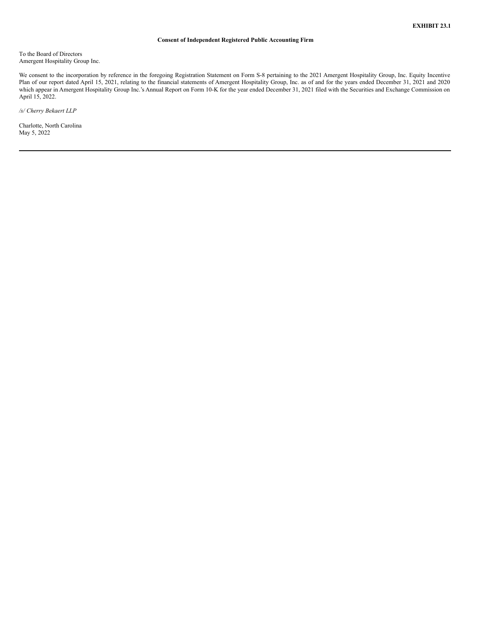# **Consent of Independent Registered Public Accounting Firm**

<span id="page-11-0"></span>To the Board of Directors Amergent Hospitality Group Inc.

We consent to the incorporation by reference in the foregoing Registration Statement on Form S-8 pertaining to the 2021 Amergent Hospitality Group, Inc. Equity Incentive Plan of our report dated April 15, 2021, relating to the financial statements of Amergent Hospitality Group, Inc. as of and for the years ended December 31, 2021 and 2020 which appear in Amergent Hospitality Group Inc.'s Annual Report on Form 10-K for the year ended December 31, 2021 filed with the Securities and Exchange Commission on April 15, 2022.

*/s/ Cherry Bekaert LLP*

Charlotte, North Carolina May 5, 2022